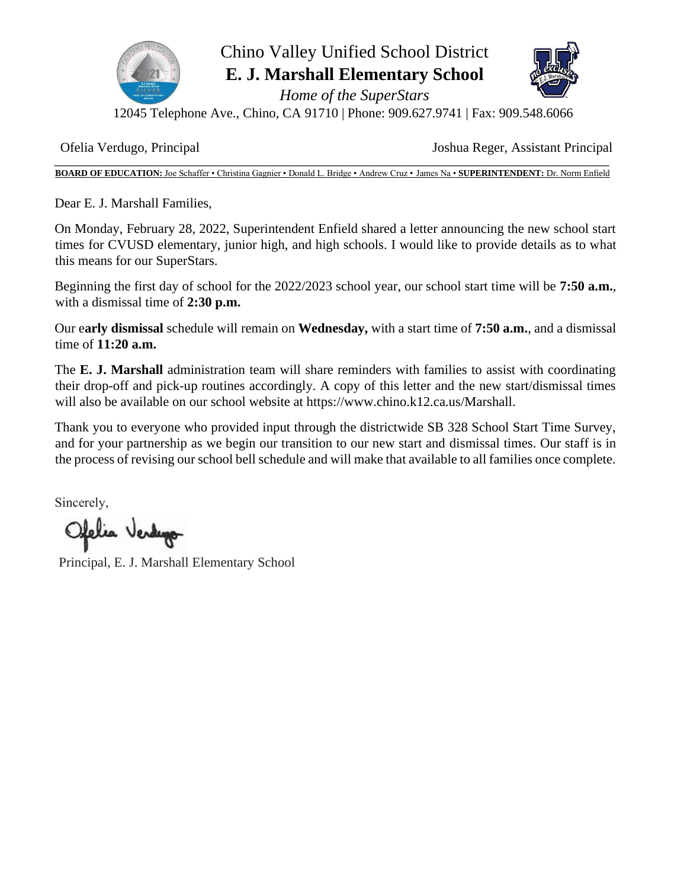

## Chino Valley Unified School District **E. J. Marshall Elementary School**

*Home of the SuperStars* 



12045 Telephone Ave., Chino, CA 91710 | Phone: 909.627.9741 | Fax: 909.548.6066

Ofelia Verdugo, Principal Joshua Reger, Assistant Principal

**\_\_\_\_\_\_\_\_\_\_\_\_\_\_\_\_\_\_\_\_\_\_\_\_\_\_\_\_\_\_\_\_\_\_\_\_\_\_\_\_\_\_\_\_\_\_\_\_\_\_\_\_\_\_\_\_\_\_\_\_\_\_\_\_\_\_\_\_\_\_\_\_\_\_\_\_\_\_\_\_\_\_\_\_\_\_\_\_\_\_\_\_\_\_\_\_\_\_\_\_\_\_\_\_\_\_\_\_\_\_ BOARD OF EDUCATION:** Joe Schaffer • Christina Gagnier • Donald L. Bridge • Andrew Cruz • James Na • **SUPERINTENDENT:** Dr. Norm Enfield

Dear E. J. Marshall Families,

On Monday, February 28, 2022, Superintendent Enfield shared a letter announcing the new school start times for CVUSD elementary, junior high, and high schools. I would like to provide details as to what this means for our SuperStars.

Beginning the first day of school for the 2022/2023 school year, our school start time will be **7:50 a.m.**, with a dismissal time of **2:30 p.m.**

Our e**arly dismissal** schedule will remain on **Wednesday,** with a start time of **7:50 a.m.**, and a dismissal time of **11:20 a.m.**

The **E. J. Marshall** administration team will share reminders with families to assist with coordinating their drop-off and pick-up routines accordingly. A copy of this letter and the new start/dismissal times will also be available on our school website at https://www.chino.k12.ca.us/Marshall.

Thank you to everyone who provided input through the districtwide SB 328 School Start Time Survey, and for your partnership as we begin our transition to our new start and dismissal times. Our staff is in the process of revising our school bell schedule and will make that available to all families once complete.

Sincerely, 

Ofelia Verdugo

Principal, E. J. Marshall Elementary School